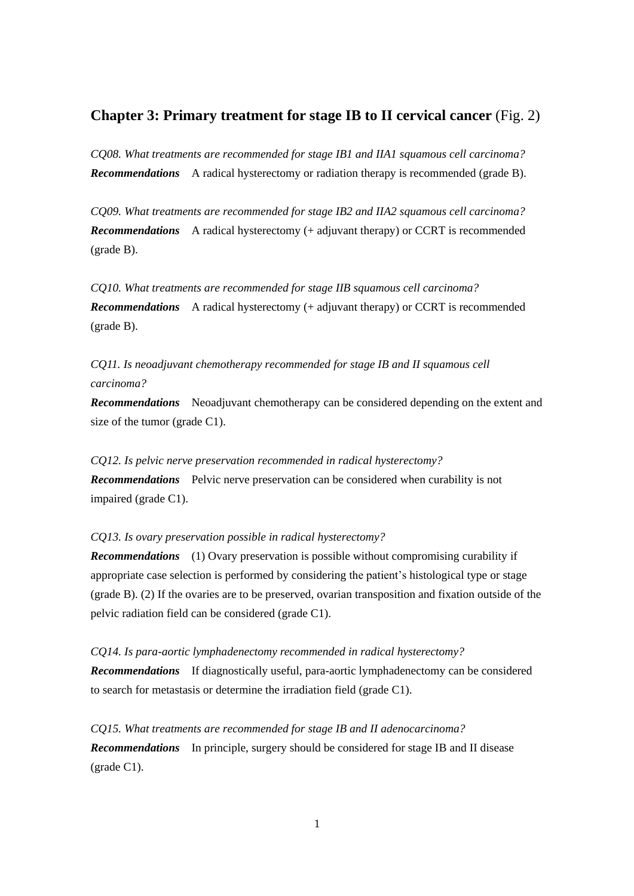## **Chapter 3: Primary treatment for stage IB to II cervical cancer** (Fig. 2)

*CQ08. What treatments are recommended for stage IB1 and IIA1 squamous cell carcinoma? Recommendations* A radical hysterectomy or radiation therapy is recommended (grade B).

*CQ09. What treatments are recommended for stage IB2 and IIA2 squamous cell carcinoma? Recommendations* A radical hysterectomy (+ adjuvant therapy) or CCRT is recommended (grade B).

*CQ10. What treatments are recommended for stage IIB squamous cell carcinoma? Recommendations* A radical hysterectomy (+ adjuvant therapy) or CCRT is recommended (grade B).

*CQ11. Is neoadjuvant chemotherapy recommended for stage IB and II squamous cell carcinoma?*

*Recommendations* Neoadjuvant chemotherapy can be considered depending on the extent and size of the tumor (grade C1).

*CQ12. Is pelvic nerve preservation recommended in radical hysterectomy? Recommendations* Pelvic nerve preservation can be considered when curability is not impaired (grade C1).

*CQ13. Is ovary preservation possible in radical hysterectomy?*

*Recommendations* (1) Ovary preservation is possible without compromising curability if appropriate case selection is performed by considering the patient's histological type or stage (grade B). (2) If the ovaries are to be preserved, ovarian transposition and fixation outside of the pelvic radiation field can be considered (grade C1).

*CQ14. Is para-aortic lymphadenectomy recommended in radical hysterectomy? Recommendations* If diagnostically useful, para-aortic lymphadenectomy can be considered to search for metastasis or determine the irradiation field (grade C1).

*CQ15. What treatments are recommended for stage IB and II adenocarcinoma? Recommendations* In principle, surgery should be considered for stage IB and II disease (grade C1).